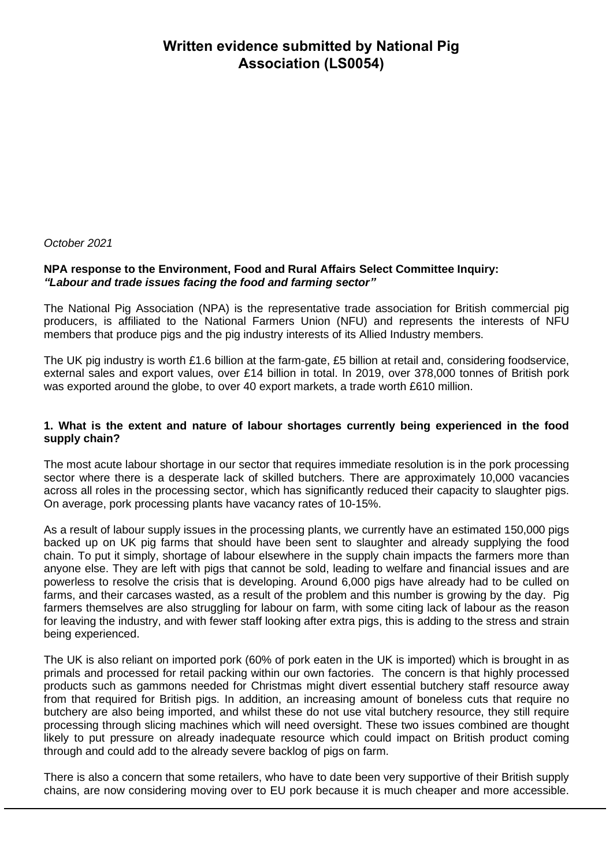# **Written evidence submitted by National Pig Association (LS0054)**

*October 2021*

# **NPA response to the Environment, Food and Rural Affairs Select Committee Inquiry:** *"Labour and trade issues facing the food and farming sector"*

The National Pig Association (NPA) is the representative trade association for British commercial pig producers, is affiliated to the National Farmers Union (NFU) and represents the interests of NFU members that produce pigs and the pig industry interests of its Allied Industry members.

The UK pig industry is worth £1.6 billion at the farm-gate, £5 billion at retail and, considering foodservice, external sales and export values, over £14 billion in total. In 2019, over 378,000 tonnes of British pork was exported around the globe, to over 40 export markets, a trade worth £610 million.

# **1. What is the extent and nature of labour shortages currently being experienced in the food supply chain?**

The most acute labour shortage in our sector that requires immediate resolution is in the pork processing sector where there is a desperate lack of skilled butchers. There are approximately 10,000 vacancies across all roles in the processing sector, which has significantly reduced their capacity to slaughter pigs. On average, pork processing plants have vacancy rates of 10-15%.

As a result of labour supply issues in the processing plants, we currently have an estimated 150,000 pigs backed up on UK pig farms that should have been sent to slaughter and already supplying the food chain. To put it simply, shortage of labour elsewhere in the supply chain impacts the farmers more than anyone else. They are left with pigs that cannot be sold, leading to welfare and financial issues and are powerless to resolve the crisis that is developing. Around 6,000 pigs have already had to be culled on farms, and their carcases wasted, as a result of the problem and this number is growing by the day. Pig farmers themselves are also struggling for labour on farm, with some citing lack of labour as the reason for leaving the industry, and with fewer staff looking after extra pigs, this is adding to the stress and strain being experienced.

The UK is also reliant on imported pork (60% of pork eaten in the UK is imported) which is brought in as primals and processed for retail packing within our own factories. The concern is that highly processed products such as gammons needed for Christmas might divert essential butchery staff resource away from that required for British pigs. In addition, an increasing amount of boneless cuts that require no butchery are also being imported, and whilst these do not use vital butchery resource, they still require processing through slicing machines which will need oversight. These two issues combined are thought likely to put pressure on already inadequate resource which could impact on British product coming through and could add to the already severe backlog of pigs on farm.

There is also a concern that some retailers, who have to date been very supportive of their British supply chains, are now considering moving over to EU pork because it is much cheaper and more accessible.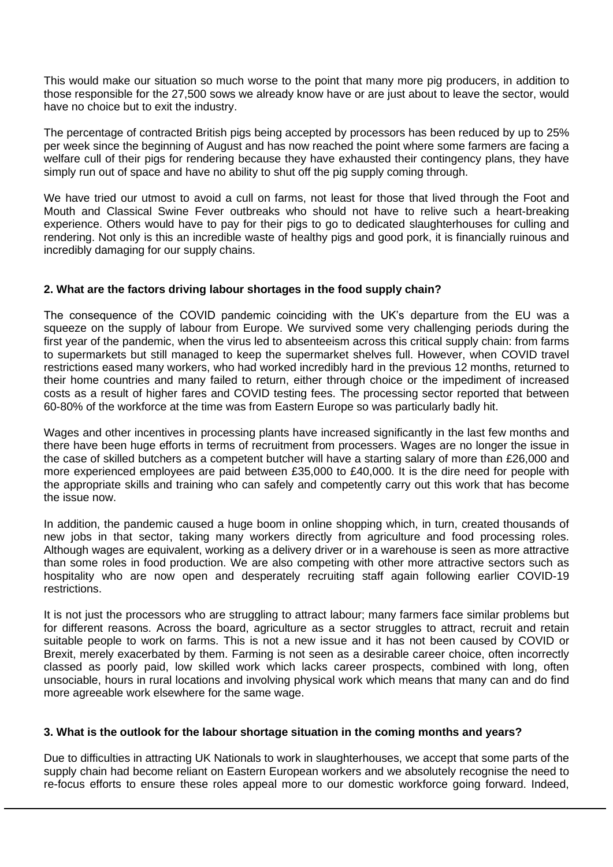This would make our situation so much worse to the point that many more pig producers, in addition to those responsible for the 27,500 sows we already know have or are just about to leave the sector, would have no choice but to exit the industry.

The percentage of contracted British pigs being accepted by processors has been reduced by up to 25% per week since the beginning of August and has now reached the point where some farmers are facing a welfare cull of their pigs for rendering because they have exhausted their contingency plans, they have simply run out of space and have no ability to shut off the pig supply coming through.

We have tried our utmost to avoid a cull on farms, not least for those that lived through the Foot and Mouth and Classical Swine Fever outbreaks who should not have to relive such a heart-breaking experience. Others would have to pay for their pigs to go to dedicated slaughterhouses for culling and rendering. Not only is this an incredible waste of healthy pigs and good pork, it is financially ruinous and incredibly damaging for our supply chains.

# **2. What are the factors driving labour shortages in the food supply chain?**

The consequence of the COVID pandemic coinciding with the UK's departure from the EU was a squeeze on the supply of labour from Europe. We survived some very challenging periods during the first year of the pandemic, when the virus led to absenteeism across this critical supply chain: from farms to supermarkets but still managed to keep the supermarket shelves full. However, when COVID travel restrictions eased many workers, who had worked incredibly hard in the previous 12 months, returned to their home countries and many failed to return, either through choice or the impediment of increased costs as a result of higher fares and COVID testing fees. The processing sector reported that between 60-80% of the workforce at the time was from Eastern Europe so was particularly badly hit.

Wages and other incentives in processing plants have increased significantly in the last few months and there have been huge efforts in terms of recruitment from processers. Wages are no longer the issue in the case of skilled butchers as a competent butcher will have a starting salary of more than £26,000 and more experienced employees are paid between £35,000 to £40,000. It is the dire need for people with the appropriate skills and training who can safely and competently carry out this work that has become the issue now.

In addition, the pandemic caused a huge boom in online shopping which, in turn, created thousands of new jobs in that sector, taking many workers directly from agriculture and food processing roles. Although wages are equivalent, working as a delivery driver or in a warehouse is seen as more attractive than some roles in food production. We are also competing with other more attractive sectors such as hospitality who are now open and desperately recruiting staff again following earlier COVID-19 restrictions.

It is not just the processors who are struggling to attract labour; many farmers face similar problems but for different reasons. Across the board, agriculture as a sector struggles to attract, recruit and retain suitable people to work on farms. This is not a new issue and it has not been caused by COVID or Brexit, merely exacerbated by them. Farming is not seen as a desirable career choice, often incorrectly classed as poorly paid, low skilled work which lacks career prospects, combined with long, often unsociable, hours in rural locations and involving physical work which means that many can and do find more agreeable work elsewhere for the same wage.

# **3. What is the outlook for the labour shortage situation in the coming months and years?**

Due to difficulties in attracting UK Nationals to work in slaughterhouses, we accept that some parts of the supply chain had become reliant on Eastern European workers and we absolutely recognise the need to re-focus efforts to ensure these roles appeal more to our domestic workforce going forward. Indeed,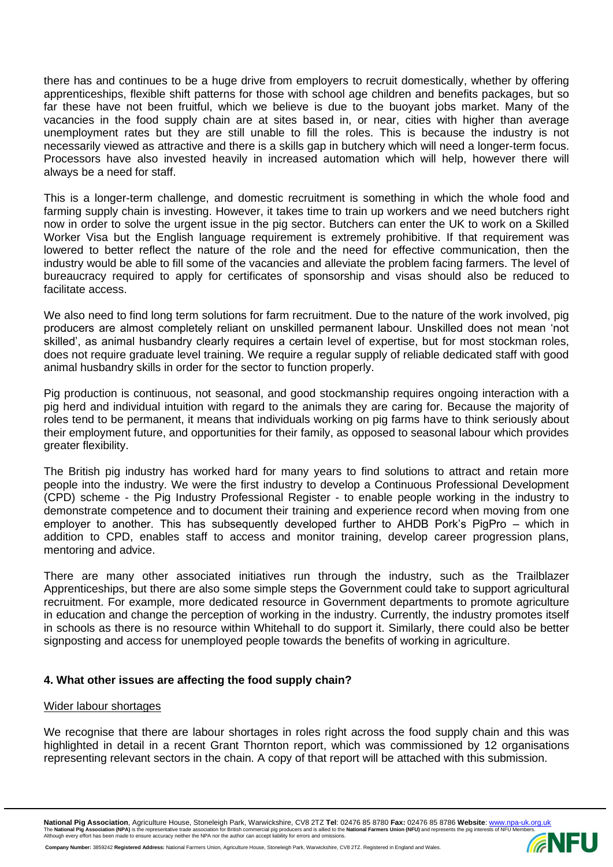there has and continues to be a huge drive from employers to recruit domestically, whether by offering apprenticeships, flexible shift patterns for those with school age children and benefits packages, but so far these have not been fruitful, which we believe is due to the buoyant jobs market. Many of the vacancies in the food supply chain are at sites based in, or near, cities with higher than average unemployment rates but they are still unable to fill the roles. This is because the industry is not necessarily viewed as attractive and there is a skills gap in butchery which will need a longer-term focus. Processors have also invested heavily in increased automation which will help, however there will always be a need for staff.

This is a longer-term challenge, and domestic recruitment is something in which the whole food and farming supply chain is investing. However, it takes time to train up workers and we need butchers right now in order to solve the urgent issue in the pig sector. Butchers can enter the UK to work on a Skilled Worker Visa but the English language requirement is extremely prohibitive. If that requirement was lowered to better reflect the nature of the role and the need for effective communication, then the industry would be able to fill some of the vacancies and alleviate the problem facing farmers. The level of bureaucracy required to apply for certificates of sponsorship and visas should also be reduced to facilitate access.

We also need to find long term solutions for farm recruitment. Due to the nature of the work involved, pig producers are almost completely reliant on unskilled permanent labour. Unskilled does not mean 'not skilled', as animal husbandry clearly requires a certain level of expertise, but for most stockman roles, does not require graduate level training. We require a regular supply of reliable dedicated staff with good animal husbandry skills in order for the sector to function properly.

Pig production is continuous, not seasonal, and good stockmanship requires ongoing interaction with a pig herd and individual intuition with regard to the animals they are caring for. Because the majority of roles tend to be permanent, it means that individuals working on pig farms have to think seriously about their employment future, and opportunities for their family, as opposed to seasonal labour which provides greater flexibility.

The British pig industry has worked hard for many years to find solutions to attract and retain more people into the industry. We were the first industry to develop a Continuous Professional Development (CPD) scheme - the Pig Industry Professional Register - to enable people working in the industry to demonstrate competence and to document their training and experience record when moving from one employer to another. This has subsequently developed further to AHDB Pork's PigPro – which in addition to CPD, enables staff to access and monitor training, develop career progression plans, mentoring and advice.

There are many other associated initiatives run through the industry, such as the Trailblazer Apprenticeships, but there are also some simple steps the Government could take to support agricultural recruitment. For example, more dedicated resource in Government departments to promote agriculture in education and change the perception of working in the industry. Currently, the industry promotes itself in schools as there is no resource within Whitehall to do support it. Similarly, there could also be better signposting and access for unemployed people towards the benefits of working in agriculture.

# **4. What other issues are affecting the food supply chain?**

# Wider labour shortages

We recognise that there are labour shortages in roles right across the food supply chain and this was highlighted in detail in a recent Grant Thornton report, which was commissioned by 12 organisations representing relevant sectors in the chain. A copy of that report will be attached with this submission.

National Pig Association, Agriculture House, Stoneleigh Park, Warwickshire, CV8 2TZ Tel: 02476 85 8780 Fax: 02476 85 8786 Website: <u>[www.npa-uk.org.uk](http://www.npa-uk.org.uk/)</u><br>The National Pig Association (NPA) is the representative trade associat

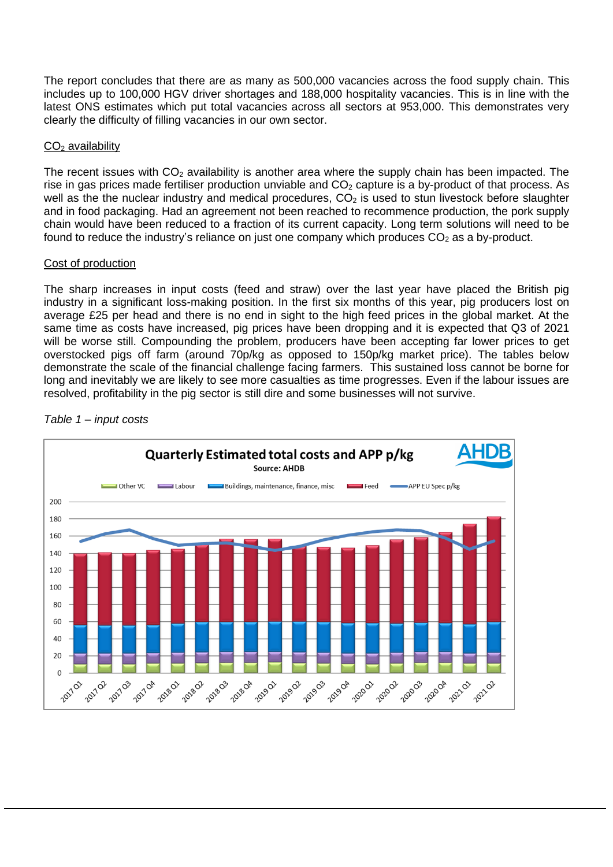The report concludes that there are as many as 500,000 vacancies across the food supply chain. This includes up to 100,000 HGV driver shortages and 188,000 hospitality vacancies. This is in line with the latest ONS estimates which put total vacancies across all sectors at 953,000. This demonstrates very clearly the difficulty of filling vacancies in our own sector.

# $CO<sub>2</sub>$  availability

The recent issues with  $CO<sub>2</sub>$  availability is another area where the supply chain has been impacted. The rise in gas prices made fertiliser production unviable and  $CO<sub>2</sub>$  capture is a by-product of that process. As well as the the nuclear industry and medical procedures,  $CO<sub>2</sub>$  is used to stun livestock before slaughter and in food packaging. Had an agreement not been reached to recommence production, the pork supply chain would have been reduced to a fraction of its current capacity. Long term solutions will need to be found to reduce the industry's reliance on just one company which produces  $CO<sub>2</sub>$  as a by-product.

# Cost of production

The sharp increases in input costs (feed and straw) over the last year have placed the British pig industry in a significant loss-making position. In the first six months of this year, pig producers lost on average £25 per head and there is no end in sight to the high feed prices in the global market. At the same time as costs have increased, pig prices have been dropping and it is expected that Q3 of 2021 will be worse still. Compounding the problem, producers have been accepting far lower prices to get overstocked pigs off farm (around 70p/kg as opposed to 150p/kg market price). The tables below demonstrate the scale of the financial challenge facing farmers. This sustained loss cannot be borne for long and inevitably we are likely to see more casualties as time progresses. Even if the labour issues are resolved, profitability in the pig sector is still dire and some businesses will not survive.



# *Table 1 – input costs*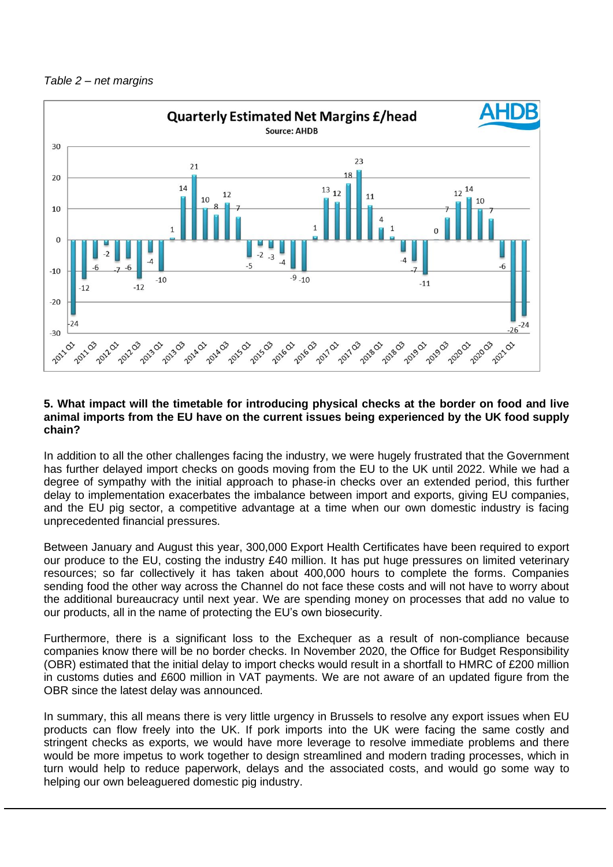#### *Table 2 – net margins*



#### **5. What impact will the timetable for introducing physical checks at the border on food and live animal imports from the EU have on the current issues being experienced by the UK food supply chain?**

In addition to all the other challenges facing the industry, we were hugely frustrated that the Government has further delayed import checks on goods moving from the EU to the UK until 2022. While we had a degree of sympathy with the initial approach to phase-in checks over an extended period, this further delay to implementation exacerbates the imbalance between import and exports, giving EU companies, and the EU pig sector, a competitive advantage at a time when our own domestic industry is facing unprecedented financial pressures.

Between January and August this year, 300,000 Export Health Certificates have been required to export our produce to the EU, costing the industry £40 million. It has put huge pressures on limited veterinary resources; so far collectively it has taken about 400,000 hours to complete the forms. Companies sending food the other way across the Channel do not face these costs and will not have to worry about the additional bureaucracy until next year. We are spending money on processes that add no value to our products, all in the name of protecting the EU's own biosecurity.

Furthermore, there is a significant loss to the Exchequer as a result of non-compliance because companies know there will be no border checks. In November 2020, the Office for Budget Responsibility (OBR) estimated that the initial delay to import checks would result in a shortfall to HMRC of £200 million in customs duties and £600 million in VAT payments. We are not aware of an updated figure from the OBR since the latest delay was announced.

In summary, this all means there is very little urgency in Brussels to resolve any export issues when EU products can flow freely into the UK. If pork imports into the UK were facing the same costly and stringent checks as exports, we would have more leverage to resolve immediate problems and there would be more impetus to work together to design streamlined and modern trading processes, which in turn would help to reduce paperwork, delays and the associated costs, and would go some way to helping our own beleaguered domestic pig industry.